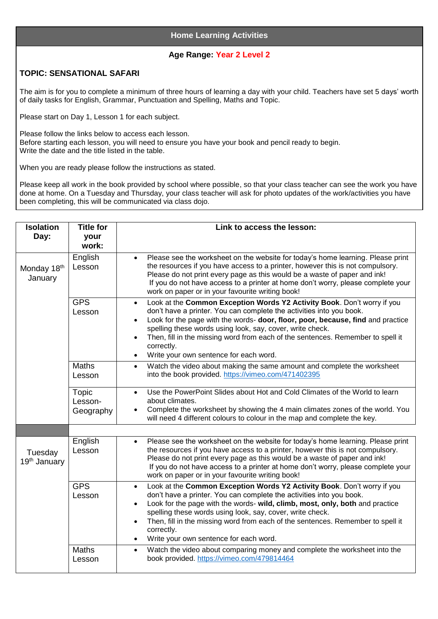## **Age Range: Year 2 Level 2**

## **TOPIC: SENSATIONAL SAFARI**

The aim is for you to complete a minimum of three hours of learning a day with your child. Teachers have set 5 days' worth of daily tasks for English, Grammar, Punctuation and Spelling, Maths and Topic.

Please start on Day 1, Lesson 1 for each subject.

Please follow the links below to access each lesson. Before starting each lesson, you will need to ensure you have your book and pencil ready to begin. Write the date and the title listed in the table.

When you are ready please follow the instructions as stated.

Please keep all work in the book provided by school where possible, so that your class teacher can see the work you have done at home. On a Tuesday and Thursday, your class teacher will ask for photo updates of the work/activities you have been completing, this will be communicated via class dojo.

| <b>Isolation</b>                    | <b>Title for</b>                     | Link to access the lesson:                                                                                                                                                                                                                                                                                                                                                                                                                                                        |  |  |
|-------------------------------------|--------------------------------------|-----------------------------------------------------------------------------------------------------------------------------------------------------------------------------------------------------------------------------------------------------------------------------------------------------------------------------------------------------------------------------------------------------------------------------------------------------------------------------------|--|--|
| Day:                                | your<br>work:                        |                                                                                                                                                                                                                                                                                                                                                                                                                                                                                   |  |  |
|                                     | English                              | Please see the worksheet on the website for today's home learning. Please print                                                                                                                                                                                                                                                                                                                                                                                                   |  |  |
| Monday 18th<br>January              | Lesson                               | the resources if you have access to a printer, however this is not compulsory.<br>Please do not print every page as this would be a waste of paper and ink!<br>If you do not have access to a printer at home don't worry, please complete your<br>work on paper or in your favourite writing book!                                                                                                                                                                               |  |  |
|                                     | <b>GPS</b><br>Lesson                 | Look at the Common Exception Words Y2 Activity Book. Don't worry if you<br>$\bullet$<br>don't have a printer. You can complete the activities into you book.<br>Look for the page with the words- door, floor, poor, because, find and practice<br>$\bullet$<br>spelling these words using look, say, cover, write check.<br>Then, fill in the missing word from each of the sentences. Remember to spell it<br>correctly.<br>Write your own sentence for each word.<br>$\bullet$ |  |  |
|                                     | <b>Maths</b><br>Lesson               | Watch the video about making the same amount and complete the worksheet<br>$\bullet$<br>into the book provided. https://vimeo.com/471402395                                                                                                                                                                                                                                                                                                                                       |  |  |
|                                     | <b>Topic</b><br>Lesson-<br>Geography | Use the PowerPoint Slides about Hot and Cold Climates of the World to learn<br>$\bullet$<br>about climates.<br>Complete the worksheet by showing the 4 main climates zones of the world. You<br>will need 4 different colours to colour in the map and complete the key.                                                                                                                                                                                                          |  |  |
|                                     |                                      |                                                                                                                                                                                                                                                                                                                                                                                                                                                                                   |  |  |
| Tuesday<br>19 <sup>th</sup> January | English<br>Lesson                    | Please see the worksheet on the website for today's home learning. Please print<br>$\bullet$<br>the resources if you have access to a printer, however this is not compulsory.<br>Please do not print every page as this would be a waste of paper and ink!<br>If you do not have access to a printer at home don't worry, please complete your<br>work on paper or in your favourite writing book!                                                                               |  |  |
|                                     | <b>GPS</b><br>Lesson                 | Look at the Common Exception Words Y2 Activity Book. Don't worry if you<br>$\bullet$<br>don't have a printer. You can complete the activities into you book.<br>Look for the page with the words- wild, climb, most, only, both and practice<br>$\bullet$<br>spelling these words using look, say, cover, write check.<br>Then, fill in the missing word from each of the sentences. Remember to spell it<br>correctly.<br>Write your own sentence for each word.                 |  |  |
|                                     | Maths<br>Lesson                      | Watch the video about comparing money and complete the worksheet into the<br>$\bullet$<br>book provided. https://vimeo.com/479814464                                                                                                                                                                                                                                                                                                                                              |  |  |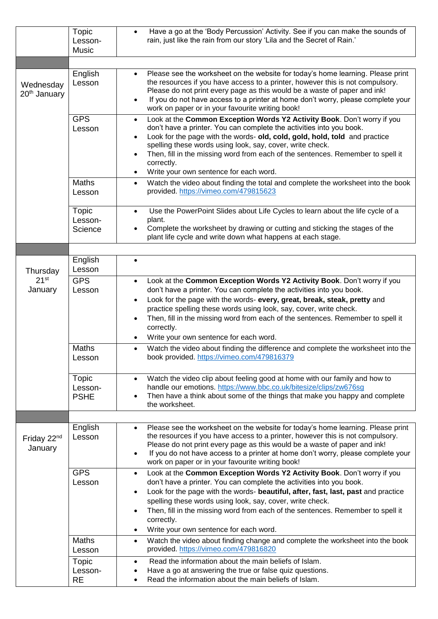|                                       | Topic<br>Lesson-<br><b>Music</b> | Have a go at the 'Body Percussion' Activity. See if you can make the sounds of<br>$\bullet$<br>rain, just like the rain from our story 'Lila and the Secret of Rain.'                                                                                                                                                                                                                                                                                                                            |
|---------------------------------------|----------------------------------|--------------------------------------------------------------------------------------------------------------------------------------------------------------------------------------------------------------------------------------------------------------------------------------------------------------------------------------------------------------------------------------------------------------------------------------------------------------------------------------------------|
|                                       |                                  |                                                                                                                                                                                                                                                                                                                                                                                                                                                                                                  |
| Wednesday<br>20 <sup>th</sup> January | English<br>Lesson                | Please see the worksheet on the website for today's home learning. Please print<br>$\bullet$<br>the resources if you have access to a printer, however this is not compulsory.<br>Please do not print every page as this would be a waste of paper and ink!<br>If you do not have access to a printer at home don't worry, please complete your<br>$\bullet$<br>work on paper or in your favourite writing book!                                                                                 |
|                                       | <b>GPS</b><br>Lesson             | Look at the Common Exception Words Y2 Activity Book. Don't worry if you<br>$\bullet$<br>don't have a printer. You can complete the activities into you book.<br>Look for the page with the words- old, cold, gold, hold, told and practice<br>$\bullet$<br>spelling these words using look, say, cover, write check.<br>Then, fill in the missing word from each of the sentences. Remember to spell it<br>$\bullet$<br>correctly.<br>Write your own sentence for each word.<br>$\bullet$        |
|                                       | <b>Maths</b><br>Lesson           | Watch the video about finding the total and complete the worksheet into the book<br>$\bullet$<br>provided. https://vimeo.com/479815623                                                                                                                                                                                                                                                                                                                                                           |
|                                       | Topic<br>Lesson-<br>Science      | Use the PowerPoint Slides about Life Cycles to learn about the life cycle of a<br>$\bullet$<br>plant.<br>Complete the worksheet by drawing or cutting and sticking the stages of the<br>plant life cycle and write down what happens at each stage.                                                                                                                                                                                                                                              |
|                                       |                                  |                                                                                                                                                                                                                                                                                                                                                                                                                                                                                                  |
| Thursday                              | English<br>Lesson                | $\bullet$                                                                                                                                                                                                                                                                                                                                                                                                                                                                                        |
| $21^{st}$<br>January                  | <b>GPS</b><br>Lesson             | Look at the Common Exception Words Y2 Activity Book. Don't worry if you<br>$\bullet$<br>don't have a printer. You can complete the activities into you book.<br>Look for the page with the words- every, great, break, steak, pretty and<br>$\bullet$<br>practice spelling these words using look, say, cover, write check.<br>Then, fill in the missing word from each of the sentences. Remember to spell it<br>$\bullet$<br>correctly.<br>Write your own sentence for each word.<br>$\bullet$ |
|                                       | Maths<br>Lesson                  | Watch the video about finding the difference and complete the worksheet into the<br>$\bullet$<br>book provided. https://vimeo.com/479816379                                                                                                                                                                                                                                                                                                                                                      |
|                                       | Topic<br>Lesson-<br><b>PSHE</b>  | Watch the video clip about feeling good at home with our family and how to<br>$\bullet$<br>handle our emotions. https://www.bbc.co.uk/bitesize/clips/zw676sg<br>Then have a think about some of the things that make you happy and complete<br>$\bullet$<br>the worksheet.                                                                                                                                                                                                                       |
| Friday 22 <sup>nd</sup><br>January    | English<br>Lesson                | Please see the worksheet on the website for today's home learning. Please print<br>$\bullet$<br>the resources if you have access to a printer, however this is not compulsory.<br>Please do not print every page as this would be a waste of paper and ink!<br>If you do not have access to a printer at home don't worry, please complete your<br>$\bullet$<br>work on paper or in your favourite writing book!                                                                                 |
|                                       | <b>GPS</b><br>Lesson             | Look at the Common Exception Words Y2 Activity Book. Don't worry if you<br>$\bullet$<br>don't have a printer. You can complete the activities into you book.<br>Look for the page with the words- beautiful, after, fast, last, past and practice<br>$\bullet$<br>spelling these words using look, say, cover, write check.<br>Then, fill in the missing word from each of the sentences. Remember to spell it<br>$\bullet$<br>correctly.<br>Write your own sentence for each word.<br>$\bullet$ |
|                                       | <b>Maths</b><br>Lesson           | Watch the video about finding change and complete the worksheet into the book<br>$\bullet$<br>provided. https://vimeo.com/479816820                                                                                                                                                                                                                                                                                                                                                              |
|                                       | Topic<br>Lesson-<br><b>RE</b>    | Read the information about the main beliefs of Islam.<br>$\bullet$<br>Have a go at answering the true or false quiz questions.<br>Read the information about the main beliefs of Islam.<br>$\bullet$                                                                                                                                                                                                                                                                                             |